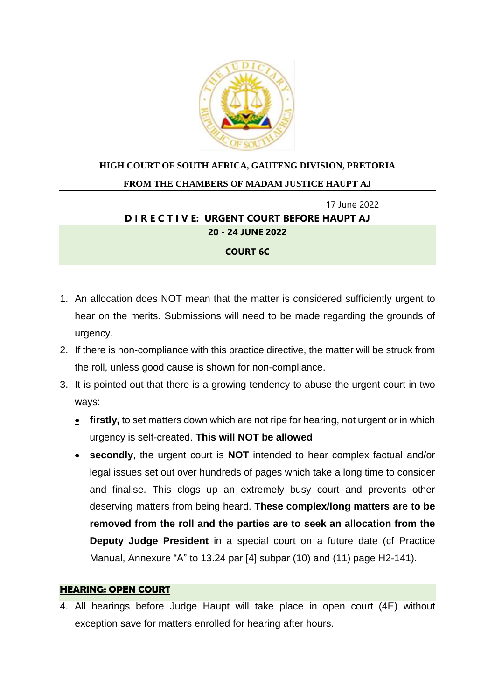

# **HIGH COURT OF SOUTH AFRICA, GAUTENG DIVISION, PRETORIA**

#### **FROM THE CHAMBERS OF MADAM JUSTICE HAUPT AJ**

# 17 June 2022 **D I R E C T I V E: URGENT COURT BEFORE HAUPT AJ 20 - 24 JUNE 2022**

# **COURT 6C**

- 1. An allocation does NOT mean that the matter is considered sufficiently urgent to hear on the merits. Submissions will need to be made regarding the grounds of urgency.
- 2. If there is non-compliance with this practice directive, the matter will be struck from the roll, unless good cause is shown for non-compliance.
- 3. It is pointed out that there is a growing tendency to abuse the urgent court in two ways:
	- **firstly,** to set matters down which are not ripe for hearing, not urgent or in which urgency is self-created. **This will NOT be allowed**;
	- **secondly**, the urgent court is **NOT** intended to hear complex factual and/or legal issues set out over hundreds of pages which take a long time to consider and finalise. This clogs up an extremely busy court and prevents other deserving matters from being heard. **These complex/long matters are to be removed from the roll and the parties are to seek an allocation from the Deputy Judge President** in a special court on a future date (cf Practice Manual, Annexure "A" to 13.24 par [4] subpar (10) and (11) page H2-141).

#### **HEARING: OPEN COURT**

4. All hearings before Judge Haupt will take place in open court (4E) without exception save for matters enrolled for hearing after hours.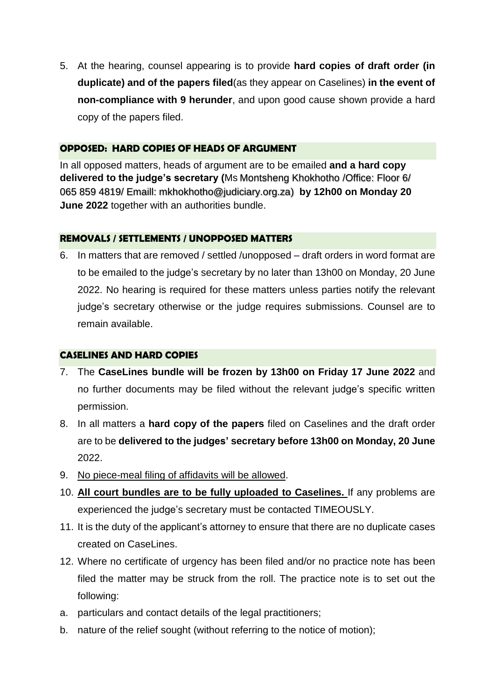5. At the hearing, counsel appearing is to provide **hard copies of draft order (in duplicate) and of the papers filed**(as they appear on Caselines) **in the event of non-compliance with 9 herunder**, and upon good cause shown provide a hard copy of the papers filed.

## **OPPOSED: HARD COPIES OF HEADS OF ARGUMENT**

In all opposed matters, heads of argument are to be emailed **and a hard copy delivered to the judge's secretary (**Ms Montsheng Khokhotho /Office: Floor 6/ 065 859 4819/ Emaill: mkhokhotho@judiciary.org.za) **by 12h00 on Monday 20 June 2022** together with an authorities bundle.

#### **REMOVALS / SETTLEMENTS / UNOPPOSED MATTERS**

6. In matters that are removed / settled /unopposed – draft orders in word format are to be emailed to the judge's secretary by no later than 13h00 on Monday, 20 June 2022. No hearing is required for these matters unless parties notify the relevant judge's secretary otherwise or the judge requires submissions. Counsel are to remain available.

## **CASELINES AND HARD COPIES**

- 7. The **CaseLines bundle will be frozen by 13h00 on Friday 17 June 2022** and no further documents may be filed without the relevant judge's specific written permission.
- 8. In all matters a **hard copy of the papers** filed on Caselines and the draft order are to be **delivered to the judges' secretary before 13h00 on Monday, 20 June** 2022.
- 9. No piece-meal filing of affidavits will be allowed.
- 10. **All court bundles are to be fully uploaded to Caselines.** If any problems are experienced the judge's secretary must be contacted TIMEOUSLY.
- 11. It is the duty of the applicant's attorney to ensure that there are no duplicate cases created on CaseLines.
- 12. Where no certificate of urgency has been filed and/or no practice note has been filed the matter may be struck from the roll. The practice note is to set out the following:
- a. particulars and contact details of the legal practitioners;
- b. nature of the relief sought (without referring to the notice of motion);